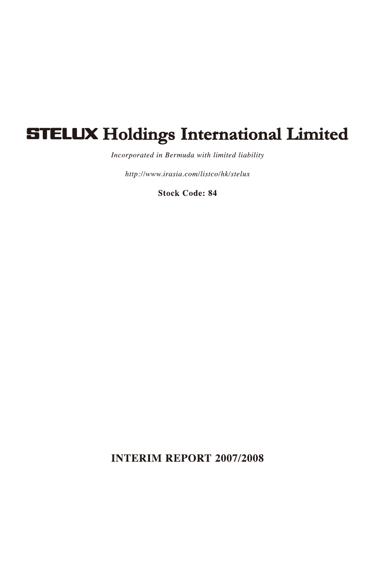# **STELUX Holdings International Limited**

Incorporated in Bermuda with limited liability

http://www.irasia.com/listco/hk/stelux

**Stock Code: 84** 

**INTERIM REPORT 2007/2008**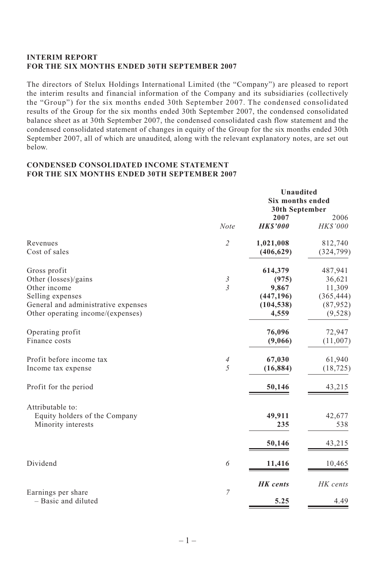## **INTERIM REPORT FOR THE SIX MONTHS ENDED 30TH SEPTEMBER 2007**

The directors of Stelux Holdings International Limited (the "Company") are pleased to report the interim results and financial information of the Company and its subsidiaries (collectively the "Group") for the six months ended 30th September 2007. The condensed consolidated results of the Group for the six months ended 30th September 2007, the condensed consolidated balance sheet as at 30th September 2007, the condensed consolidated cash flow statement and the condensed consolidated statement of changes in equity of the Group for the six months ended 30th September 2007, all of which are unaudited, along with the relevant explanatory notes, are set out below.

#### **CONDENSED CONSOLIDATED INCOME STATEMENT FOR THE SIX MONTHS ENDED 30TH SEPTEMBER 2007**

|                                     |                               | Unaudited<br><b>Six months ended</b>     |                       |
|-------------------------------------|-------------------------------|------------------------------------------|-----------------------|
|                                     | <b>Note</b>                   | 30th September<br>2007<br><b>HKS'000</b> | 2006<br>HK\$'000      |
| Revenues<br>Cost of sales           | $\overline{2}$                | 1,021,008<br>(406, 629)                  | 812,740<br>(324, 799) |
|                                     |                               |                                          |                       |
| Gross profit                        |                               | 614,379                                  | 487,941               |
| Other (losses)/gains                | $\frac{3}{3}$                 | (975)                                    | 36,621                |
| Other income                        |                               | 9,867                                    | 11,309                |
| Selling expenses                    |                               | (447, 196)                               | (365, 444)            |
| General and administrative expenses |                               | (104, 538)                               | (87, 952)             |
| Other operating income/(expenses)   |                               | 4,559                                    | (9,528)               |
| Operating profit                    |                               | 76,096                                   | 72,947                |
| Finance costs                       |                               | (9,066)                                  | (11,007)              |
| Profit before income tax            | $\ensuremath{\mathnormal{4}}$ | 67,030                                   | 61,940                |
| Income tax expense                  | 5                             | (16, 884)                                | (18, 725)             |
| Profit for the period               |                               | 50,146                                   | 43,215                |
| Attributable to:                    |                               |                                          |                       |
| Equity holders of the Company       |                               | 49,911                                   | 42,677                |
| Minority interests                  |                               | 235                                      | 538                   |
|                                     |                               | 50,146                                   | 43,215                |
| Dividend                            | 6                             | 11,416                                   | 10,465                |
|                                     |                               |                                          |                       |
| Earnings per share                  | 7                             | <b>HK</b> cents                          | HK cents              |
| - Basic and diluted                 |                               | 5.25                                     | 4.49                  |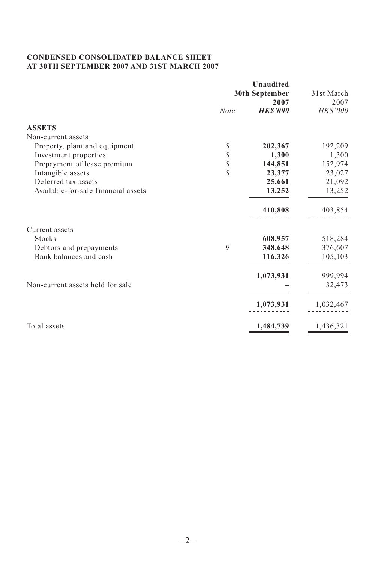## **CONDENSED CONSOLIDATED BALANCE SHEET AT 30TH SEPTEMBER 2007 AND 31ST MARCH 2007**

|                                     | Unaudited      |                 |            |
|-------------------------------------|----------------|-----------------|------------|
|                                     | 30th September |                 | 31st March |
|                                     |                | 2007            | 2007       |
|                                     | <b>Note</b>    | <b>HK\$'000</b> | HK\$'000   |
| <b>ASSETS</b>                       |                |                 |            |
| Non-current assets                  |                |                 |            |
| Property, plant and equipment       | 8              | 202,367         | 192,209    |
| Investment properties               | 8              | 1,300           | 1,300      |
| Prepayment of lease premium         | 8              | 144,851         | 152,974    |
| Intangible assets                   | 8              | 23,377          | 23,027     |
| Deferred tax assets                 |                | 25,661          | 21,092     |
| Available-for-sale financial assets |                | 13,252          | 13,252     |
|                                     |                | 410,808         | 403,854    |
| Current assets                      |                |                 |            |
| <b>Stocks</b>                       |                | 608,957         | 518,284    |
| Debtors and prepayments             | 9              | 348,648         | 376,607    |
| Bank balances and cash              |                | 116,326         | 105,103    |
|                                     |                | 1,073,931       | 999,994    |
| Non-current assets held for sale    |                |                 | 32,473     |
|                                     |                | 1,073,931       | 1,032,467  |
| Total assets                        |                | 1,484,739       | 1,436,321  |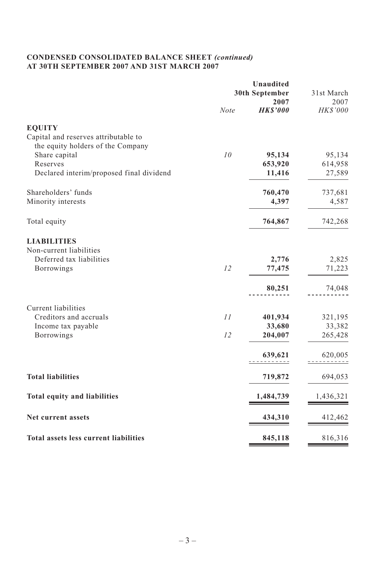# **CONDENSED CONSOLIDATED BALANCE SHEET** *(continued)* **AT 30TH SEPTEMBER 2007 AND 31ST MARCH 2007**

|                                                                           | <b>Unaudited</b><br>30th September |                         | 31st March       |
|---------------------------------------------------------------------------|------------------------------------|-------------------------|------------------|
|                                                                           | Note                               | 2007<br><b>HK\$'000</b> | 2007<br>HK\$'000 |
| <b>EQUITY</b>                                                             |                                    |                         |                  |
| Capital and reserves attributable to<br>the equity holders of the Company |                                    |                         |                  |
| Share capital                                                             | 10                                 | 95,134                  | 95,134           |
| Reserves                                                                  |                                    | 653,920                 | 614,958          |
| Declared interim/proposed final dividend                                  |                                    | 11,416                  | 27,589           |
| Shareholders' funds                                                       |                                    | 760,470                 | 737,681          |
| Minority interests                                                        |                                    | 4,397                   | 4,587            |
| Total equity                                                              |                                    | 764,867                 | 742,268          |
| <b>LIABILITIES</b>                                                        |                                    |                         |                  |
| Non-current liabilities                                                   |                                    |                         |                  |
| Deferred tax liabilities                                                  |                                    | 2,776                   | 2,825            |
| Borrowings                                                                | 12                                 | 77,475                  | 71,223           |
|                                                                           |                                    | 80,251                  | 74,048           |
| Current liabilities                                                       |                                    |                         |                  |
| Creditors and accruals                                                    | 11                                 | 401,934                 | 321,195          |
| Income tax payable                                                        |                                    | 33,680                  | 33,382           |
| Borrowings                                                                | 12                                 | 204,007                 | 265,428          |
|                                                                           |                                    | 639,621                 | 620,005          |
| <b>Total liabilities</b>                                                  |                                    | 719,872                 | 694,053          |
| <b>Total equity and liabilities</b>                                       |                                    | 1,484,739               | 1,436,321        |
| Net current assets                                                        |                                    | 434,310                 | 412,462          |
| Total assets less current liabilities                                     |                                    | 845,118                 | 816,316          |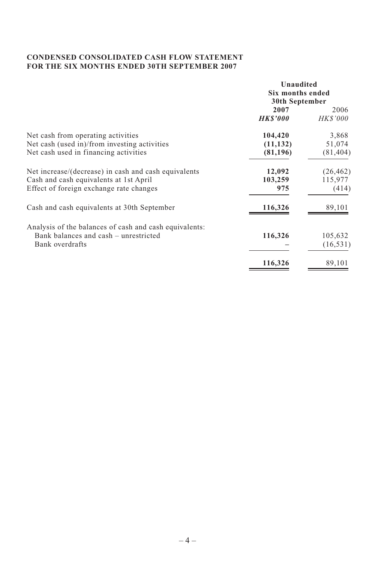## **CONDENSED CONSOLIDATED CASH FLOW STATEMENT FOR THE SIX MONTHS ENDED 30TH SEPTEMBER 2007**

|                                                        | Unaudited        |                 |
|--------------------------------------------------------|------------------|-----------------|
|                                                        | Six months ended |                 |
|                                                        | 30th September   |                 |
|                                                        | 2007             | 2006            |
|                                                        | <b>HK\$'000</b>  | <i>HK\$'000</i> |
| Net cash from operating activities                     | 104,420          | 3,868           |
| Net cash (used in)/from investing activities           | (11, 132)        | 51,074          |
| Net cash used in financing activities                  | (81, 196)        | (81, 404)       |
| Net increase/(decrease) in cash and cash equivalents   | 12,092           | (26, 462)       |
| Cash and cash equivalents at 1st April                 | 103,259          | 115,977         |
| Effect of foreign exchange rate changes                | 975              | (414)           |
| Cash and cash equivalents at 30th September            | 116,326          | 89,101          |
| Analysis of the balances of cash and cash equivalents: |                  |                 |
| Bank balances and cash – unrestricted                  | 116,326          | 105,632         |
| Bank overdrafts                                        |                  | (16, 531)       |
|                                                        | 116,326          | 89,101          |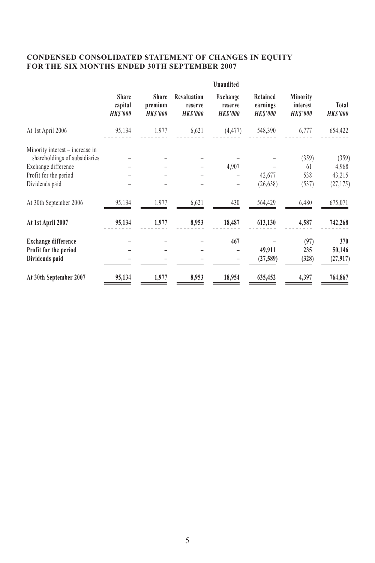## **CONDENSED CONSOLIDATED STATEMENT OF CHANGES IN EQUITY FOR THE SIX MONTHS ENDED 30TH SEPTEMBER 2007**

|                                    |                                            |                                          | Unaudited                             |                                        |                                        |                             |
|------------------------------------|--------------------------------------------|------------------------------------------|---------------------------------------|----------------------------------------|----------------------------------------|-----------------------------|
| Share<br>capital<br><b>HKS'000</b> | <b>Share</b><br>premium<br><b>HK\$'000</b> | Revaluation<br>reserve<br><b>HKS'000</b> | Exchange<br>reserve<br><b>HKS'000</b> | Retained<br>earnings<br><b>HKS'000</b> | Minority<br>interest<br><b>HKS'000</b> | Total<br><b>HKS'000</b>     |
| 95,134                             | 1,977                                      | 6,621                                    | (4, 477)                              | 548,390                                | 6,777                                  | 654,422                     |
|                                    |                                            |                                          |                                       |                                        |                                        |                             |
|                                    |                                            |                                          |                                       |                                        |                                        | (359)                       |
|                                    |                                            |                                          |                                       |                                        | 61                                     | 4,968                       |
|                                    |                                            |                                          |                                       |                                        |                                        | 43,215                      |
|                                    |                                            |                                          |                                       | (26, 638)                              | (537)                                  | (27, 175)                   |
| 95,134                             | 1,977                                      | 6,621                                    | 430                                   | 564,429                                | 6,480                                  | 675,071                     |
| 95,134                             | 1,977                                      | 8,953                                    | 18,487                                | 613,130                                | 4,587                                  | 742,268                     |
|                                    |                                            |                                          |                                       |                                        |                                        | 370                         |
|                                    |                                            |                                          |                                       |                                        |                                        | 50,146                      |
|                                    |                                            |                                          |                                       | (27,589)                               | (328)                                  | (27, 917)                   |
| 95,134                             | 1,977                                      | 8,953                                    | 18,954                                | 635,452                                | 4,397                                  | 764,867                     |
|                                    |                                            |                                          |                                       | 4,907<br>467                           | 42,677<br>49,911                       | (359)<br>538<br>(97)<br>235 |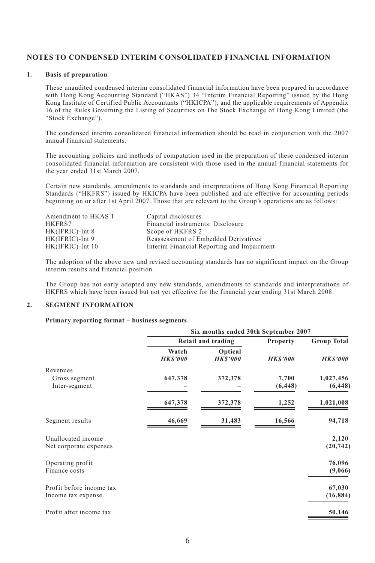#### **NOTES TO CONDENSED INTERIM CONSOLIDATED FINANCIAL INFORMATION**

#### **1. Basis of preparation**

These unaudited condensed interim consolidated financial information have been prepared in accordance with Hong Kong Accounting Standard ("HKAS") 34 "Interim Financial Reporting" issued by the Hong Kong Institute of Certified Public Accountants ("HKICPA"), and the applicable requirements of Appendix 16 of the Rules Governing the Listing of Securities on The Stock Exchange of Hong Kong Limited (the "Stock Exchange").

The condensed interim consolidated financial information should be read in conjunction with the 2007 annual financial statements.

The accounting policies and methods of computation used in the preparation of these condensed interim consolidated financial information are consistent with those used in the annual financial statements for the year ended 31st March 2007.

Certain new standards, amendments to standards and interpretations of Hong Kong Financial Reporting Standards ("HKFRS") issued by HKICPA have been published and are effective for accounting periods beginning on or after 1st April 2007. Those that are relevant to the Group's operations are as follows:

| Amendment to HKAS 1 | Capital disclosures                        |
|---------------------|--------------------------------------------|
| HKFRS7              | Financial instruments: Disclosure          |
| HK(IFRIC)-Int 8     | Scope of HKFRS 2                           |
| HK(IFRIC)-Int 9     | Reassessment of Embedded Derivatives       |
| $HK(IFRIC)$ -Int 10 | Interim Financial Reporting and Impairment |

The adoption of the above new and revised accounting standards has no significant impact on the Group interim results and financial position.

The Group has not early adopted any new standards, amendments to standards and interpretations of HKFRS which have been issued but not yet effective for the financial year ending 31st March 2008.

#### **2. SEGMENT INFORMATION**

#### **Primary reporting format – business segments**

|                          | Six months ended 30th September 2007 |                           |                 |                    |
|--------------------------|--------------------------------------|---------------------------|-----------------|--------------------|
|                          |                                      | Retail and trading        | <b>Property</b> | <b>Group Total</b> |
|                          | Watch<br><b>HK\$'000</b>             | Optical<br><b>HKS'000</b> | <b>HKS'000</b>  | <b>HKS'000</b>     |
| Revenues                 |                                      |                           |                 |                    |
| Gross segment            | 647,378                              | 372,378                   | 7,700           | 1,027,456          |
| Inter-segment            |                                      |                           | (6, 448)        | (6, 448)           |
|                          | 647,378                              | 372,378                   | 1,252           | 1,021,008          |
| Segment results          | 46,669                               | 31,483                    | 16,566          | 94,718             |
| Unallocated income       |                                      |                           |                 | 2,120              |
| Net corporate expenses   |                                      |                           |                 | (20, 742)          |
| Operating profit         |                                      |                           |                 | 76,096             |
| Finance costs            |                                      |                           |                 | (9,066)            |
| Profit before income tax |                                      |                           |                 | 67,030             |
| Income tax expense       |                                      |                           |                 | (16, 884)          |
| Profit after income tax  |                                      |                           |                 | 50,146             |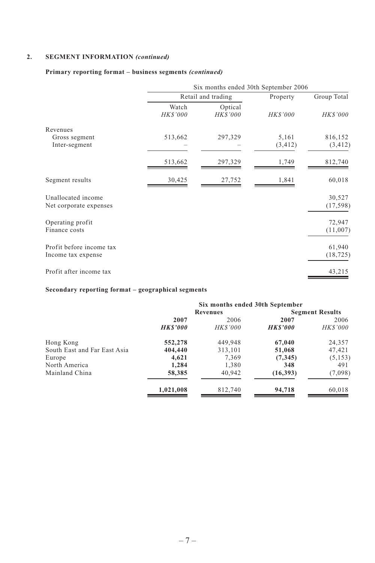# **2. SEGMENT INFORMATION** *(continued)*

## **Primary reporting format – business segments** *(continued)*

|                                                | Six months ended 30th September 2006 |                            |                   |                     |
|------------------------------------------------|--------------------------------------|----------------------------|-------------------|---------------------|
|                                                |                                      | Retail and trading         | Property          | Group Total         |
|                                                | Watch<br><b>HK\$'000</b>             | Optical<br><b>HK\$'000</b> | <b>HKS'000</b>    | <b>HK\$'000</b>     |
| Revenues                                       |                                      |                            |                   |                     |
| Gross segment<br>Inter-segment                 | 513,662                              | 297,329                    | 5,161<br>(3, 412) | 816,152<br>(3, 412) |
|                                                | 513,662                              | 297,329                    | 1,749             | 812,740             |
| Segment results                                | 30,425                               | 27,752                     | 1,841             | 60,018              |
| Unallocated income<br>Net corporate expenses   |                                      |                            |                   | 30,527<br>(17, 598) |
| Operating profit<br>Finance costs              |                                      |                            |                   | 72,947<br>(11,007)  |
| Profit before income tax<br>Income tax expense |                                      |                            |                   | 61,940<br>(18, 725) |
| Profit after income tax                        |                                      |                            |                   | 43,215              |

## **Secondary reporting format – geographical segments**

|                              | Six months ended 30th September |                 |                |                        |
|------------------------------|---------------------------------|-----------------|----------------|------------------------|
|                              |                                 | Revenues        |                | <b>Segment Results</b> |
|                              | 2007                            | 2006            | 2007           | 2006                   |
|                              | <b>HKS'000</b>                  | <b>HK\$'000</b> | <b>HKS'000</b> | <b>HK\$'000</b>        |
| Hong Kong                    | 552,278                         | 449,948         | 67,040         | 24,357                 |
| South East and Far East Asia | 404,440                         | 313,101         | 51,068         | 47,421                 |
| Europe                       | 4,621                           | 7.369           | (7, 345)       | (5, 153)               |
| North America                | 1,284                           | 1,380           | 348            | 491                    |
| Mainland China               | 58,385                          | 40,942          | (16,393)       | (7,098)                |
|                              | 1,021,008                       | 812,740         | 94,718         | 60,018                 |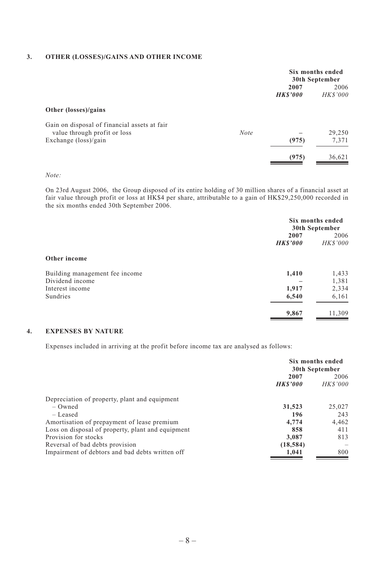#### **3. OTHER (LOSSES)/GAINS AND OTHER INCOME**

|                                                                                                                      |             | Six months ended<br>30th September |                        |
|----------------------------------------------------------------------------------------------------------------------|-------------|------------------------------------|------------------------|
|                                                                                                                      |             | 2007<br><b>HKS'000</b>             | 2006<br><b>HKS'000</b> |
| Other (losses)/gains                                                                                                 |             |                                    |                        |
| Gain on disposal of financial assets at fair<br>value through profit or loss<br>Exchange $(\text{loss})/\text{gain}$ | <b>Note</b> | (975)                              | 29,250<br>7,371        |
|                                                                                                                      |             | (975)                              | 36,621                 |

#### *Note:*

On 23rd August 2006, the Group disposed of its entire holding of 30 million shares of a financial asset at fair value through profit or loss at HK\$4 per share, attributable to a gain of HK\$29,250,000 recorded in the six months ended 30th September 2006.

|                                |                        | Six months ended<br>30th September |
|--------------------------------|------------------------|------------------------------------|
|                                | 2007<br><b>HKS'000</b> | 2006<br>HK\$'000                   |
| Other income                   |                        |                                    |
| Building management fee income | 1,410                  | 1,433                              |
| Dividend income                |                        | 1,381                              |
| Interest income                | 1,917                  | 2,334                              |
| Sundries                       | 6,540                  | 6,161                              |
|                                | 9,867                  | 11,309                             |

#### **4. EXPENSES BY NATURE**

Expenses included in arriving at the profit before income tax are analysed as follows:

|                                                   | Six months ended<br>30th September |                 |
|---------------------------------------------------|------------------------------------|-----------------|
|                                                   | 2007                               | 2006            |
|                                                   | <b>HKS'000</b>                     | <i>HK\$'000</i> |
| Depreciation of property, plant and equipment     |                                    |                 |
| $-$ Owned                                         | 31,523                             | 25,027          |
| $-$ Leased                                        | 196                                | 243             |
| Amortisation of prepayment of lease premium       | 4,774                              | 4,462           |
| Loss on disposal of property, plant and equipment | 858                                | 411             |
| Provision for stocks                              | 3.087                              | 813             |
| Reversal of bad debts provision                   | (18, 584)                          |                 |
| Impairment of debtors and bad debts written off   | 1.041                              | 800             |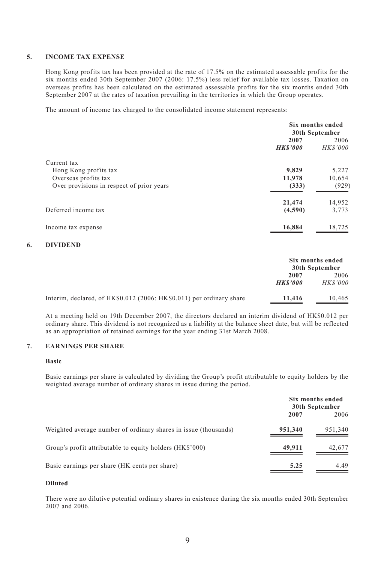#### **5. INCOME TAX EXPENSE**

Hong Kong profits tax has been provided at the rate of 17.5% on the estimated assessable profits for the six months ended 30th September 2007 (2006: 17.5%) less relief for available tax losses. Taxation on overseas profits has been calculated on the estimated assessable profits for the six months ended 30th September 2007 at the rates of taxation prevailing in the territories in which the Group operates.

The amount of income tax charged to the consolidated income statement represents:

|                                           | Six months ended<br>30th September |                        |
|-------------------------------------------|------------------------------------|------------------------|
|                                           | 2007<br><b>HKS'000</b>             | 2006<br><b>HKS'000</b> |
| Current tax                               |                                    |                        |
| Hong Kong profits tax                     | 9.829                              | 5,227                  |
| Overseas profits tax                      | 11,978                             | 10,654                 |
| Over provisions in respect of prior years | (333)                              | (929)                  |
|                                           | 21,474                             | 14,952                 |
| Deferred income tax                       | (4,590)                            | 3,773                  |
| Income tax expense                        | 16,884                             | 18,725                 |

#### **6. DIVIDEND**

|                                                                      | Six months ended<br>30th September |                        |
|----------------------------------------------------------------------|------------------------------------|------------------------|
|                                                                      | 2007<br><b>HKS'000</b>             | 2006<br><b>HKS'000</b> |
| Interim, declared, of HK\$0.012 (2006: HK\$0.011) per ordinary share | 11.416                             | 10.465                 |

At a meeting held on 19th December 2007, the directors declared an interim dividend of HK\$0.012 per ordinary share. This dividend is not recognized as a liability at the balance sheet date, but will be reflected as an appropriation of retained earnings for the year ending 31st March 2008.

#### **7. EARNINGS PER SHARE**

#### **Basic**

Basic earnings per share is calculated by dividing the Group's profit attributable to equity holders by the weighted average number of ordinary shares in issue during the period.

|                                                                 | Six months ended<br>30th September |         |
|-----------------------------------------------------------------|------------------------------------|---------|
|                                                                 | 2007                               | 2006    |
| Weighted average number of ordinary shares in issue (thousands) | 951,340                            | 951,340 |
| Group's profit attributable to equity holders (HK\$'000)        | 49,911                             | 42,677  |
| Basic earnings per share (HK cents per share)                   | 5.25                               | 4.49    |

#### **Diluted**

There were no dilutive potential ordinary shares in existence during the six months ended 30th September 2007 and 2006.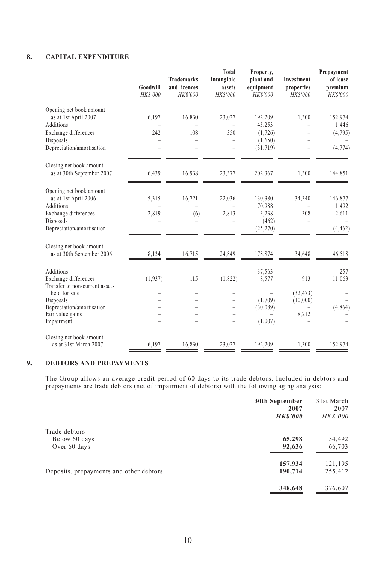## **8. CAPITAL EXPENDITURE**

|                                                        | Goodwill<br><b>HK\$'000</b> | <b>Trademarks</b><br>and licences<br>HK\$'000 | <b>Total</b><br>intangible<br>assets<br>HK\$'000 | Property,<br>plant and<br>equipment<br>HK\$'000 | Investment<br>properties<br><b>HK\$'000</b> | Prepayment<br>of lease<br>premium<br>HK\$'000 |
|--------------------------------------------------------|-----------------------------|-----------------------------------------------|--------------------------------------------------|-------------------------------------------------|---------------------------------------------|-----------------------------------------------|
| Opening net book amount                                |                             |                                               |                                                  |                                                 |                                             |                                               |
| as at 1st April 2007<br>Additions                      | 6,197                       | 16,830                                        | 23,027                                           | 192,209<br>45,253                               | 1,300                                       | 152,974<br>1,446                              |
| Exchange differences                                   | 242                         | 108                                           | 350                                              | (1, 726)                                        |                                             | (4, 795)                                      |
| Disposals                                              |                             |                                               |                                                  | (1,650)                                         |                                             |                                               |
| Depreciation/amortisation                              |                             |                                               |                                                  | (31,719)                                        |                                             | (4, 774)                                      |
| Closing net book amount                                |                             |                                               |                                                  |                                                 |                                             |                                               |
| as at 30th September 2007                              | 6,439                       | 16,938                                        | 23,377                                           | 202,367                                         | 1,300                                       | 144,851                                       |
| Opening net book amount                                |                             |                                               |                                                  |                                                 |                                             |                                               |
| as at 1st April 2006                                   | 5,315                       | 16,721                                        | 22,036                                           | 130,380                                         | 34,340                                      | 146,877                                       |
| Additions                                              |                             |                                               |                                                  | 70,988                                          |                                             | 1,492                                         |
| Exchange differences                                   | 2,819                       | (6)                                           | 2,813                                            | 3,238                                           | 308                                         | 2,611                                         |
| Disposals                                              |                             |                                               |                                                  | (462)                                           |                                             |                                               |
| Depreciation/amortisation                              |                             |                                               |                                                  | (25,270)                                        |                                             | (4, 462)                                      |
| Closing net book amount                                |                             |                                               |                                                  |                                                 |                                             |                                               |
| as at 30th September 2006                              | 8,134                       | 16,715                                        | 24,849                                           | 178,874                                         | 34,648                                      | 146,518                                       |
| Additions                                              |                             |                                               |                                                  | 37,563                                          |                                             | 257                                           |
| Exchange differences<br>Transfer to non-current assets | (1,937)                     | 115                                           | (1,822)                                          | 8,577                                           | 913                                         | 11,063                                        |
| held for sale                                          |                             |                                               |                                                  |                                                 | (32, 473)                                   |                                               |
| Disposals                                              |                             |                                               |                                                  | (1,709)                                         | (10,000)                                    |                                               |
| Depreciation/amortisation                              |                             |                                               |                                                  | (30,089)                                        |                                             | (4,864)                                       |
| Fair value gains<br>Impairment                         |                             |                                               |                                                  | (1,007)                                         | 8,212                                       |                                               |
|                                                        |                             |                                               |                                                  |                                                 |                                             |                                               |
| Closing net book amount<br>as at 31st March 2007       | 6,197                       | 16,830                                        | 23,027                                           | 192,209                                         | 1,300                                       | 152,974                                       |
|                                                        |                             |                                               |                                                  |                                                 |                                             |                                               |

#### **9. DEBTORS AND PREPAYMENTS**

The Group allows an average credit period of 60 days to its trade debtors. Included in debtors and prepayments are trade debtors (net of impairment of debtors) with the following aging analysis:

|                                         | 30th September<br>2007 | 31st March<br>2007 |
|-----------------------------------------|------------------------|--------------------|
|                                         | <b>HKS'000</b>         | HK\$'000           |
| Trade debtors                           |                        |                    |
| Below 60 days                           | 65,298                 | 54,492             |
| Over 60 days                            | 92,636                 | 66,703             |
|                                         | 157,934                | 121,195            |
| Deposits, prepayments and other debtors | 190,714                | 255,412            |
|                                         | 348,648                | 376,607            |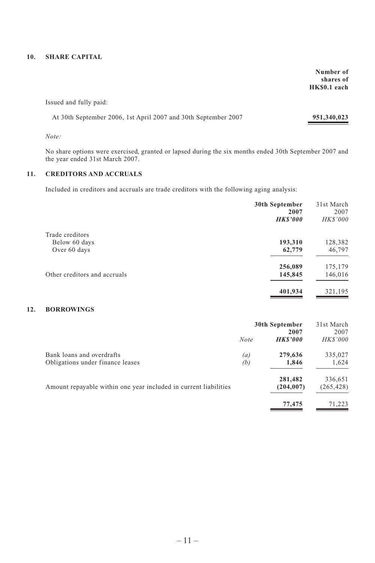#### **10. SHARE CAPITAL**

**Number of shares of HK\$0.1 each**

Issued and fully paid:

| At 30th September 2006, 1st April 2007 and 30th September 2007 | 951,340,023 |
|----------------------------------------------------------------|-------------|
|----------------------------------------------------------------|-------------|

*Note:*

No share options were exercised, granted or lapsed during the six months ended 30th September 2007 and the year ended 31st March 2007.

#### **11. CREDITORS AND ACCRUALS**

Included in creditors and accruals are trade creditors with the following aging analysis:

|                              | 30th September<br>2007<br><b>HKS'000</b> | 31st March<br>2007<br><b>HK\$'000</b> |
|------------------------------|------------------------------------------|---------------------------------------|
| Trade creditors              |                                          |                                       |
| Below 60 days                | 193,310                                  | 128,382                               |
| Over 60 days                 | 62,779                                   | 46,797                                |
|                              | 256,089                                  | 175,179                               |
| Other creditors and accruals | 145,845                                  | 146,016                               |
|                              | 401,934                                  | 321,195                               |

#### **12. BORROWINGS**

|                                                                  | 30th September<br>2007 |                | 31st March<br>2007 |
|------------------------------------------------------------------|------------------------|----------------|--------------------|
|                                                                  | <b>Note</b>            | <b>HKS'000</b> | <b>HKS'000</b>     |
| Bank loans and overdrafts                                        | $\left(a\right)$       | 279,636        | 335,027            |
| Obligations under finance leases                                 | (b)                    | 1,846          | 1,624              |
|                                                                  |                        | 281,482        | 336,651            |
| Amount repayable within one year included in current liabilities |                        | (204, 007)     | (265, 428)         |
|                                                                  |                        | 77,475         | 71.223             |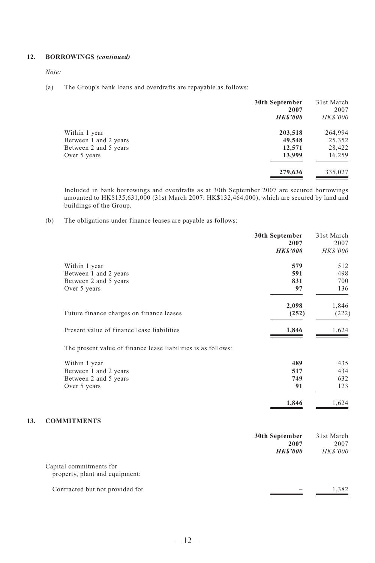#### **12. BORROWINGS** *(continued)*

*Note:*

(a) The Group's bank loans and overdrafts are repayable as follows:

|                       | 30th September<br>2007<br><b>HKS'000</b> | 31st March<br>2007<br><b>HKS'000</b> |
|-----------------------|------------------------------------------|--------------------------------------|
| Within 1 year         | 203,518                                  | 264,994                              |
| Between 1 and 2 years | 49,548                                   | 25,352                               |
| Between 2 and 5 years | 12,571                                   | 28,422                               |
| Over 5 years          | 13,999                                   | 16,259                               |
|                       | 279,636                                  | 335,027                              |

Included in bank borrowings and overdrafts as at 30th September 2007 are secured borrowings amounted to HK\$135,631,000 (31st March 2007: HK\$132,464,000), which are secured by land and buildings of the Group.

(b) The obligations under finance leases are payable as follows:

|     |                                                               | 30th September<br>2007<br><b>HKS'000</b> | 31st March<br>2007<br><b>HK\$'000</b> |
|-----|---------------------------------------------------------------|------------------------------------------|---------------------------------------|
|     | Within 1 year                                                 | 579                                      | 512                                   |
|     | Between 1 and 2 years                                         | 591                                      | 498                                   |
|     | Between 2 and 5 years                                         | 831                                      | 700                                   |
|     | Over 5 years                                                  | 97                                       | 136                                   |
|     |                                                               | 2,098                                    | 1,846                                 |
|     | Future finance charges on finance leases                      | (252)                                    | (222)                                 |
|     | Present value of finance lease liabilities                    | 1,846                                    | 1,624                                 |
|     | The present value of finance lease liabilities is as follows: |                                          |                                       |
|     | Within 1 year                                                 | 489                                      | 435                                   |
|     | Between 1 and 2 years                                         | 517                                      | 434                                   |
|     | Between 2 and 5 years                                         | 749                                      | 632                                   |
|     | Over 5 years                                                  | 91                                       | 123                                   |
|     |                                                               | 1,846                                    | 1,624                                 |
| 13. | <b>COMMITMENTS</b>                                            |                                          |                                       |
|     |                                                               | 30th September<br>2007<br><b>HKS'000</b> | 31st March<br>2007<br><b>HK\$'000</b> |
|     | Capital commitments for<br>property, plant and equipment:     |                                          |                                       |
|     | Contracted but not provided for                               |                                          | 1,382                                 |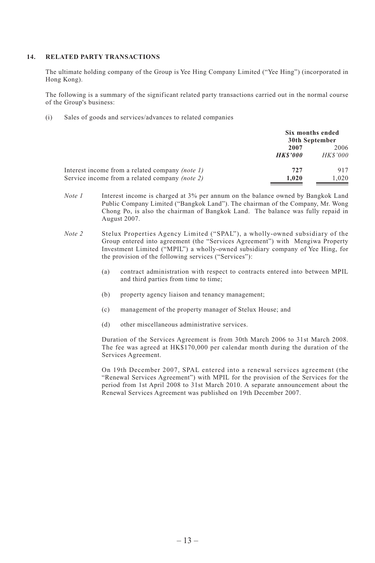#### **14. RELATED PARTY TRANSACTIONS**

The ultimate holding company of the Group is Yee Hing Company Limited ("Yee Hing") (incorporated in Hong Kong).

The following is a summary of the significant related party transactions carried out in the normal course of the Group's business:

(i) Sales of goods and services/advances to related companies

|                                                        | Six months ended<br>30th September |                |
|--------------------------------------------------------|------------------------------------|----------------|
|                                                        | 2007                               | 2006           |
|                                                        | <b>HKS'000</b>                     | <b>HKS'000</b> |
| Interest income from a related company <i>(note 1)</i> | 727                                | 917            |
| Service income from a related company <i>(note 2)</i>  | 1.020                              | 1.020          |

- *Note 1* Interest income is charged at 3% per annum on the balance owned by Bangkok Land Public Company Limited ("Bangkok Land"). The chairman of the Company, Mr. Wong Chong Po, is also the chairman of Bangkok Land. The balance was fully repaid in August 2007.
- *Note 2* Stelux Properties Agency Limited ("SPAL"), a wholly-owned subsidiary of the Group entered into agreement (the "Services Agreement") with Mengiwa Property Investment Limited ("MPIL") a wholly-owned subsidiary company of Yee Hing, for the provision of the following services ("Services"):
	- (a) contract administration with respect to contracts entered into between MPIL and third parties from time to time;
	- (b) property agency liaison and tenancy management;
	- (c) management of the property manager of Stelux House; and
	- (d) other miscellaneous administrative services.

Duration of the Services Agreement is from 30th March 2006 to 31st March 2008. The fee was agreed at HK\$170,000 per calendar month during the duration of the Services Agreement.

On 19th December 2007, SPAL entered into a renewal services agreement (the "Renewal Services Agreement") with MPIL for the provision of the Services for the period from 1st April 2008 to 31st March 2010. A separate announcement about the Renewal Services Agreement was published on 19th December 2007.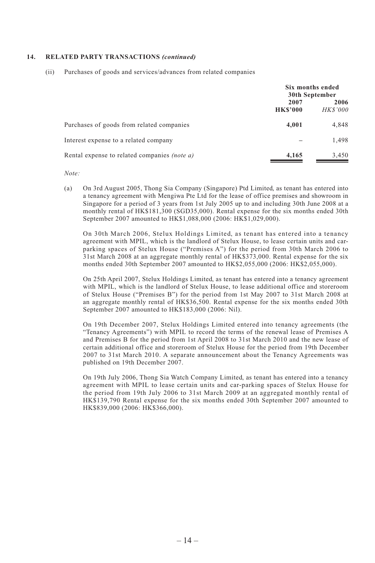#### **14. RELATED PARTY TRANSACTIONS** *(continued)*

(ii) Purchases of goods and services/advances from related companies

|                                                     | Six months ended<br>30th September |                         |
|-----------------------------------------------------|------------------------------------|-------------------------|
|                                                     | 2007<br><b>HK\$'000</b>            | 2006<br><b>HK\$'000</b> |
| Purchases of goods from related companies           | 4.001                              | 4,848                   |
| Interest expense to a related company               |                                    | 1,498                   |
| Rental expense to related companies <i>(note a)</i> | 4,165                              | 3,450                   |

*Note:*

(a) On 3rd August 2005, Thong Sia Company (Singapore) Ptd Limited, as tenant has entered into a tenancy agreement with Mengiwa Pte Ltd for the lease of office premises and showroom in Singapore for a period of 3 years from 1st July 2005 up to and including 30th June 2008 at a monthly rental of HK\$181,300 (SGD35,000). Rental expense for the six months ended 30th September 2007 amounted to HK\$1,088,000 (2006: HK\$1,029,000).

On 30th March 2006, Stelux Holdings Limited, as tenant has entered into a tenancy agreement with MPIL, which is the landlord of Stelux House, to lease certain units and carparking spaces of Stelux House ("Premises A") for the period from 30th March 2006 to 31st March 2008 at an aggregate monthly rental of HK\$373,000. Rental expense for the six months ended 30th September 2007 amounted to HK\$2,055,000 (2006: HK\$2,055,000).

On 25th April 2007, Stelux Holdings Limited, as tenant has entered into a tenancy agreement with MPIL, which is the landlord of Stelux House, to lease additional office and storeroom of Stelux House ("Premises B") for the period from 1st May 2007 to 31st March 2008 at an aggregate monthly rental of HK\$36,500. Rental expense for the six months ended 30th September 2007 amounted to HK\$183,000 (2006: Nil).

On 19th December 2007, Stelux Holdings Limited entered into tenancy agreements (the "Tenancy Agreements") with MPIL to record the terms of the renewal lease of Premises A and Premises B for the period from 1st April 2008 to 31st March 2010 and the new lease of certain additional office and storeroom of Stelux House for the period from 19th December 2007 to 31st March 2010. A separate announcement about the Tenancy Agreements was published on 19th December 2007.

On 19th July 2006, Thong Sia Watch Company Limited, as tenant has entered into a tenancy agreement with MPIL to lease certain units and car-parking spaces of Stelux House for the period from 19th July 2006 to 31st March 2009 at an aggregated monthly rental of HK\$139,790 Rental expense for the six months ended 30th September 2007 amounted to HK\$839,000 (2006: HK\$366,000).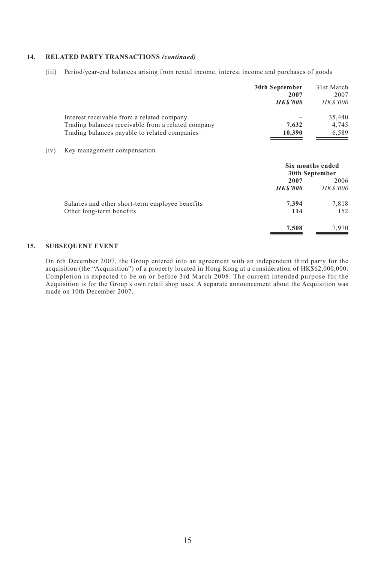#### **14. RELATED PARTY TRANSACTIONS** *(continued)*

(iii) Period/year-end balances arising from rental income, interest income and purchases of goods

|      |                                                    | 30th September<br>2007<br><b>HKS'000</b> | 31st March<br>2007<br><b>HK\$'000</b> |
|------|----------------------------------------------------|------------------------------------------|---------------------------------------|
|      | Interest receivable from a related company         |                                          | 35,440                                |
|      | Trading balances receivable from a related company | 7,632                                    | 4,745                                 |
|      | Trading balances payable to related companies      | 10,390                                   | 6,589                                 |
| (iv) | Key management compensation                        |                                          |                                       |
|      |                                                    | Six months ended<br>30th September       |                                       |
|      |                                                    | 2007                                     | 2006                                  |
|      |                                                    | <b>HKS'000</b>                           | <b>HKS'000</b>                        |
|      | Salaries and other short-term employee benefits    | 7,394                                    | 7,818                                 |
|      | Other long-term benefits                           | 114                                      | 152                                   |
|      |                                                    | 7,508                                    | 7,970                                 |

#### **15. SUBSEQUENT EVENT**

On 6th December 2007, the Group entered into an agreement with an independent third party for the acquisition (the "Acquisition") of a property located in Hong Kong at a consideration of HK\$62,000,000. Completion is expected to be on or before 3rd March 2008. The current intended purpose for the Acquisition is for the Group's own retail shop uses. A separate announcement about the Acquisition was made on 10th December 2007.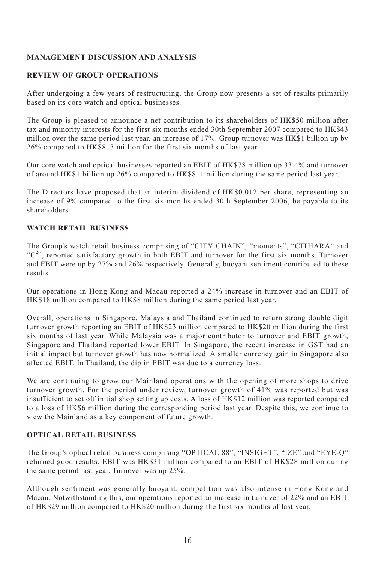## **MANAGEMENT DISCUSSION AND ANALYSIS**

#### **REVIEW OF GROUP OPERATIONS**

After undergoing a few years of restructuring, the Group now presents a set of results primarily based on its core watch and optical businesses.

The Group is pleased to announce a net contribution to its shareholders of HK\$50 million after tax and minority interests for the first six months ended 30th September 2007 compared to HK\$43 million over the same period last year, an increase of 17%. Group turnover was HK\$1 billion up by 26% compared to HK\$813 million for the first six months of last year.

Our core watch and optical businesses reported an EBIT of HK\$78 million up 33.4% and turnover of around HK\$1 billion up 26% compared to HK\$811 million during the same period last year.

The Directors have proposed that an interim dividend of HK\$0.012 per share, representing an increase of 9% compared to the first six months ended 30th September 2006, be payable to its shareholders.

# **WATCH RETAIL BUSINESS**

The Group's watch retail business comprising of "CITY CHAIN", "moments", "CITHARA" and  $C^{2n}$ , reported satisfactory growth in both EBIT and turnover for the first six months. Turnover and EBIT were up by 27% and 26% respectively. Generally, buoyant sentiment contributed to these results.

Our operations in Hong Kong and Macau reported a 24% increase in turnover and an EBIT of HK\$18 million compared to HK\$8 million during the same period last year.

Overall, operations in Singapore, Malaysia and Thailand continued to return strong double digit turnover growth reporting an EBIT of HK\$23 million compared to HK\$20 million during the first six months of last year. While Malaysia was a major contributor to turnover and EBIT growth, Singapore and Thailand reported lower EBIT. In Singapore, the recent increase in GST had an initial impact but turnover growth has now normalized. A smaller currency gain in Singapore also affected EBIT. In Thailand, the dip in EBIT was due to a currency loss.

We are continuing to grow our Mainland operations with the opening of more shops to drive turnover growth. For the period under review, turnover growth of 41% was reported but was insufficient to set off initial shop setting up costs. A loss of HK\$12 million was reported compared to a loss of HK\$6 million during the corresponding period last year. Despite this, we continue to view the Mainland as a key component of future growth.

## **OPTICAL RETAIL BUSINESS**

The Group's optical retail business comprising "OPTICAL 88", "INSIGHT", "IZE" and "EYE-Q" returned good results. EBIT was HK\$31 million compared to an EBIT of HK\$28 million during the same period last year. Turnover was up 25%.

Although sentiment was generally buoyant, competition was also intense in Hong Kong and Macau. Notwithstanding this, our operations reported an increase in turnover of 22% and an EBIT of HK\$29 million compared to HK\$20 million during the first six months of last year.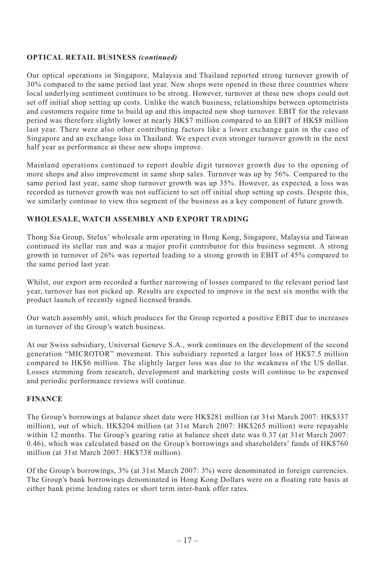## **OPTICAL RETAIL BUSINESS** *(continued)*

Our optical operations in Singapore, Malaysia and Thailand reported strong turnover growth of 30% compared to the same period last year. New shops were opened in these three countries where local underlying sentiment continues to be strong. However, turnover at these new shops could not set off initial shop setting up costs. Unlike the watch business, relationships between optometrists and customers require time to build up and this impacted new shop turnover. EBIT for the relevant period was therefore slightly lower at nearly HK\$7 million compared to an EBIT of HK\$8 million last year. There were also other contributing factors like a lower exchange gain in the case of Singapore and an exchange loss in Thailand. We expect even stronger turnover growth in the next half year as performance at these new shops improve.

Mainland operations continued to report double digit turnover growth due to the opening of more shops and also improvement in same shop sales. Turnover was up by 56%. Compared to the same period last year, same shop turnover growth was up 35%. However, as expected, a loss was recorded as turnover growth was not sufficient to set off initial shop setting up costs. Despite this, we similarly continue to view this segment of the business as a key component of future growth.

## **WHOLESALE, WATCH ASSEMBLY AND EXPORT TRADING**

Thong Sia Group, Stelux' wholesale arm operating in Hong Kong, Singapore, Malaysia and Taiwan continued its stellar run and was a major profit contributor for this business segment. A strong growth in turnover of 26% was reported leading to a strong growth in EBIT of 45% compared to the same period last year.

Whilst, our export arm recorded a further narrowing of losses compared to the relevant period last year, turnover has not picked up. Results are expected to improve in the next six months with the product launch of recently signed licensed brands.

Our watch assembly unit, which produces for the Group reported a positive EBIT due to increases in turnover of the Group's watch business.

At our Swiss subsidiary, Universal Geneve S.A., work continues on the development of the second generation "MICROTOR" movement. This subsidiary reported a larger loss of HK\$7.5 million compared to HK\$6 million. The slightly larger loss was due to the weakness of the US dollar. Losses stemming from research, development and marketing costs will continue to be expensed and periodic performance reviews will continue.

## **FINANCE**

The Group's borrowings at balance sheet date were HK\$281 million (at 31st March 2007: HK\$337 million), out of which, HK\$204 million (at 31st March 2007: HK\$265 million) were repayable within 12 months. The Group's gearing ratio at balance sheet date was 0.37 (at 31st March 2007: 0.46), which was calculated based on the Group's borrowings and shareholders' funds of HK\$760 million (at 31st March 2007: HK\$738 million).

Of the Group's borrowings, 3% (at 31st March 2007: 3%) were denominated in foreign currencies. The Group's bank borrowings denominated in Hong Kong Dollars were on a floating rate basis at either bank prime lending rates or short term inter-bank offer rates.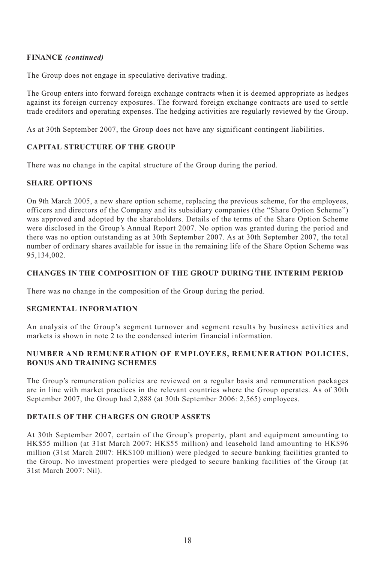## **FINANCE** *(continued)*

The Group does not engage in speculative derivative trading.

The Group enters into forward foreign exchange contracts when it is deemed appropriate as hedges against its foreign currency exposures. The forward foreign exchange contracts are used to settle trade creditors and operating expenses. The hedging activities are regularly reviewed by the Group.

As at 30th September 2007, the Group does not have any significant contingent liabilities.

## **CAPITAL STRUCTURE OF THE GROUP**

There was no change in the capital structure of the Group during the period.

## **SHARE OPTIONS**

On 9th March 2005, a new share option scheme, replacing the previous scheme, for the employees, officers and directors of the Company and its subsidiary companies (the "Share Option Scheme") was approved and adopted by the shareholders. Details of the terms of the Share Option Scheme were disclosed in the Group's Annual Report 2007. No option was granted during the period and there was no option outstanding as at 30th September 2007. As at 30th September 2007, the total number of ordinary shares available for issue in the remaining life of the Share Option Scheme was 95,134,002.

## **CHANGES IN THE COMPOSITION OF THE GROUP DURING THE INTERIM PERIOD**

There was no change in the composition of the Group during the period.

#### **SEGMENTAL INFORMATION**

An analysis of the Group's segment turnover and segment results by business activities and markets is shown in note 2 to the condensed interim financial information.

#### **NUMBER AND REMUNERATION OF EMPLOYEES, REMUNERATION POLICIES, BONUS AND TRAINING SCHEMES**

The Group's remuneration policies are reviewed on a regular basis and remuneration packages are in line with market practices in the relevant countries where the Group operates. As of 30th September 2007, the Group had 2,888 (at 30th September 2006: 2,565) employees.

#### **DETAILS OF THE CHARGES ON GROUP ASSETS**

At 30th September 2007, certain of the Group's property, plant and equipment amounting to HK\$55 million (at 31st March 2007: HK\$55 million) and leasehold land amounting to HK\$96 million (31st March 2007: HK\$100 million) were pledged to secure banking facilities granted to the Group. No investment properties were pledged to secure banking facilities of the Group (at 31st March 2007: Nil).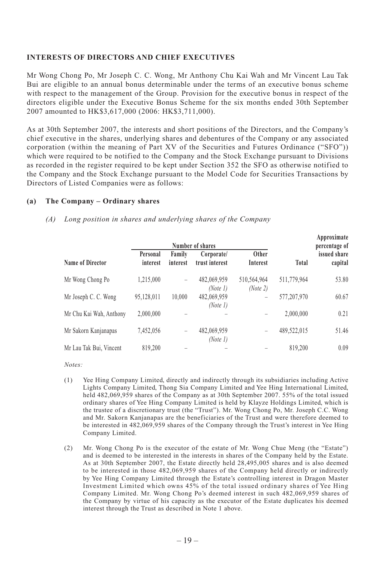#### **INTERESTS OF DIRECTORS AND CHIEF EXECUTIVES**

Mr Wong Chong Po, Mr Joseph C. C. Wong, Mr Anthony Chu Kai Wah and Mr Vincent Lau Tak Bui are eligible to an annual bonus determinable under the terms of an executive bonus scheme with respect to the management of the Group. Provision for the executive bonus in respect of the directors eligible under the Executive Bonus Scheme for the six months ended 30th September 2007 amounted to HK\$3,617,000 (2006: HK\$3,711,000).

As at 30th September 2007, the interests and short positions of the Directors, and the Company's chief executive in the shares, underlying shares and debentures of the Company or any associated corporation (within the meaning of Part XV of the Securities and Futures Ordinance ("SFO")) which were required to be notified to the Company and the Stock Exchange pursuant to Divisions as recorded in the register required to be kept under Section 352 the SFO as otherwise notified to the Company and the Stock Exchange pursuant to the Model Code for Securities Transactions by Directors of Listed Companies were as follows:

#### **(a) The Company – Ordinary shares**

#### *(A) Long position in shares and underlying shares of the Company*

|                         | Number of shares     |                    |                              |                         |              | Approximate<br>percentage of |
|-------------------------|----------------------|--------------------|------------------------------|-------------------------|--------------|------------------------------|
| Name of Director        | Personal<br>interest | Family<br>interest | Corporate/<br>trust interest | Other<br>Interest       | <b>Total</b> | issued share<br>capital      |
| Mr Wong Chong Po        | 1,215,000            | -                  | 482,069,959<br>(Note 1)      | 510,564,964<br>(Note 2) | 511,779,964  | 53.80                        |
| Mr Joseph C. C. Wong    | 95,128,011           | 10.000             | 482,069,959<br>(Note 1)      | -                       | 577,207,970  | 60.67                        |
| Mr Chu Kai Wah, Anthony | 2,000,000            |                    |                              |                         | 2,000,000    | 0.21                         |
| Mr Sakorn Kanjanapas    | 7,452,056            | -                  | 482,069,959<br>(Note 1)      | -                       | 489.522.015  | 51.46                        |
| Mr Lau Tak Bui, Vincent | 819.200              |                    |                              |                         | 819.200      | 0.09                         |

*Notes:*

- (1) Yee Hing Company Limited, directly and indirectly through its subsidiaries including Active Lights Company Limited, Thong Sia Company Limited and Yee Hing International Limited, held 482,069,959 shares of the Company as at 30th September 2007. 55% of the total issued ordinary shares of Yee Hing Company Limited is held by Klayze Holdings Limited, which is the trustee of a discretionary trust (the "Trust"). Mr. Wong Chong Po, Mr. Joseph C.C. Wong and Mr. Sakorn Kanjanapas are the beneficiaries of the Trust and were therefore deemed to be interested in 482,069,959 shares of the Company through the Trust's interest in Yee Hing Company Limited.
- (2) Mr. Wong Chong Po is the executor of the estate of Mr. Wong Chue Meng (the "Estate") and is deemed to be interested in the interests in shares of the Company held by the Estate. As at 30th September 2007, the Estate directly held 28,495,005 shares and is also deemed to be interested in those 482,069,959 shares of the Company held directly or indirectly by Yee Hing Company Limited through the Estate's controlling interest in Dragon Master Investment Limited which owns 45% of the total issued ordinary shares of Yee Hing Company Limited. Mr. Wong Chong Po's deemed interest in such 482,069,959 shares of the Company by virtue of his capacity as the executor of the Estate duplicates his deemed interest through the Trust as described in Note 1 above.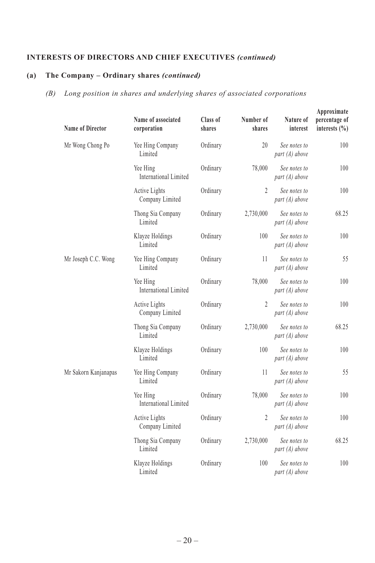# **INTERESTS OF DIRECTORS AND CHIEF EXECUTIVES** *(continued)*

# **(a) The Company – Ordinary shares** *(continued)*

# *(B) Long position in shares and underlying shares of associated corporations*

| Approximate<br>percentage of<br>interests $(\% )$ | Nature of<br>interest            | Number of<br>shares | Class of<br>shares | Name of associated<br>corporation        | <b>Name of Director</b> |
|---------------------------------------------------|----------------------------------|---------------------|--------------------|------------------------------------------|-------------------------|
| 100                                               | See notes to<br>part $(A)$ above | 20                  | Ordinary           | Yee Hing Company<br>Limited              | Mr Wong Chong Po        |
| 100                                               | See notes to<br>part $(A)$ above | 78,000              | Ordinary           | Yee Hing<br>International Limited        |                         |
| 100                                               | See notes to<br>part $(A)$ above | 2                   | Ordinary           | Active Lights<br>Company Limited         |                         |
| 68.25                                             | See notes to<br>part $(A)$ above | 2,730,000           | Ordinary           | Thong Sia Company<br>Limited             |                         |
| 100                                               | See notes to<br>part $(A)$ above | 100                 | Ordinary           | Klayze Holdings<br>Limited               |                         |
| 55                                                | See notes to<br>part $(A)$ above | 11                  | Ordinary           | Yee Hing Company<br>Limited              | Mr Joseph C.C. Wong     |
| 100                                               | See notes to<br>part $(A)$ above | 78,000              | Ordinary           | Yee Hing<br>International Limited        |                         |
| 100                                               | See notes to<br>part $(A)$ above | $\overline{2}$      | Ordinary           | Active Lights<br>Company Limited         |                         |
| 68.25                                             | See notes to<br>part $(A)$ above | 2,730,000           | Ordinary           | Thong Sia Company<br>Limited             |                         |
| 100                                               | See notes to<br>part $(A)$ above | 100                 | Ordinary           | Klayze Holdings<br>Limited               |                         |
| 55                                                | See notes to<br>part $(A)$ above | 11                  | Ordinary           | Yee Hing Company<br>Limited              | Mr Sakorn Kanjanapas    |
| 100                                               | See notes to<br>part $(A)$ above | 78,000              | Ordinary           | Yee Hing<br><b>International Limited</b> |                         |
| 100                                               | See notes to<br>part $(A)$ above | $\overline{2}$      | Ordinary           | Active Lights<br>Company Limited         |                         |
| 68.25                                             | See notes to<br>part $(A)$ above | 2,730,000           | Ordinary           | Thong Sia Company<br>Limited             |                         |
| 100                                               | See notes to<br>part $(A)$ above | 100                 | Ordinary           | Klayze Holdings<br>Limited               |                         |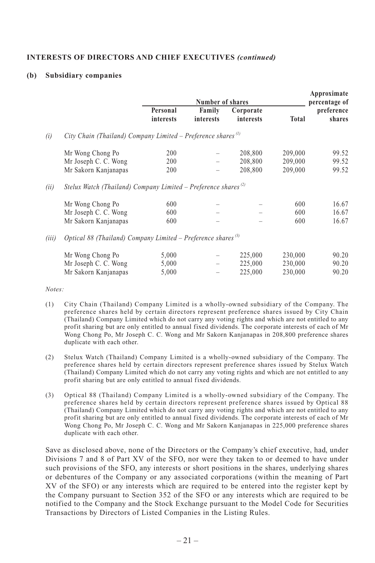#### **INTERESTS OF DIRECTORS AND CHIEF EXECUTIVES** *(continued)*

#### **(b) Subsidiary companies**

|       |                                                                            | Number of shares      |                     |                        | Approximate<br>percentage of |                      |  |
|-------|----------------------------------------------------------------------------|-----------------------|---------------------|------------------------|------------------------------|----------------------|--|
|       |                                                                            | Personal<br>interests | Family<br>interests | Corporate<br>interests | Total                        | preference<br>shares |  |
| (i)   | City Chain (Thailand) Company Limited – Preference shares <sup>(1)</sup>   |                       |                     |                        |                              |                      |  |
|       | Mr Wong Chong Po                                                           | 200                   |                     | 208,800                | 209,000                      | 99.52                |  |
|       | Mr Joseph C. C. Wong                                                       | 200                   |                     | 208,800                | 209,000                      | 99.52                |  |
|       | Mr Sakorn Kanjanapas                                                       | 200                   |                     | 208,800                | 209,000                      | 99.52                |  |
| (ii)  | Stelux Watch (Thailand) Company Limited – Preference shares <sup>(2)</sup> |                       |                     |                        |                              |                      |  |
|       | Mr Wong Chong Po                                                           | 600                   |                     |                        | 600                          | 16.67                |  |
|       | Mr Joseph C. C. Wong                                                       | 600                   |                     |                        | 600                          | 16.67                |  |
|       | Mr Sakorn Kanjanapas                                                       | 600                   |                     |                        | 600                          | 16.67                |  |
| (iii) | Optical 88 (Thailand) Company Limited – Preference shares <sup>(3)</sup>   |                       |                     |                        |                              |                      |  |
|       | Mr Wong Chong Po                                                           | 5,000                 |                     | 225,000                | 230,000                      | 90.20                |  |
|       | Mr Joseph C. C. Wong                                                       | 5,000                 |                     | 225,000                | 230,000                      | 90.20                |  |
|       | Mr Sakorn Kanjanapas                                                       | 5,000                 |                     | 225,000                | 230,000                      | 90.20                |  |

*Notes:*

- (1) City Chain (Thailand) Company Limited is a wholly-owned subsidiary of the Company. The preference shares held by certain directors represent preference shares issued by City Chain (Thailand) Company Limited which do not carry any voting rights and which are not entitled to any profit sharing but are only entitled to annual fixed dividends. The corporate interests of each of Mr Wong Chong Po, Mr Joseph C. C. Wong and Mr Sakorn Kanjanapas in 208,800 preference shares duplicate with each other.
- (2) Stelux Watch (Thailand) Company Limited is a wholly-owned subsidiary of the Company. The preference shares held by certain directors represent preference shares issued by Stelux Watch (Thailand) Company Limited which do not carry any voting rights and which are not entitled to any profit sharing but are only entitled to annual fixed dividends.
- (3) Optical 88 (Thailand) Company Limited is a wholly-owned subsidiary of the Company. The preference shares held by certain directors represent preference shares issued by Optical 88 (Thailand) Company Limited which do not carry any voting rights and which are not entitled to any profit sharing but are only entitled to annual fixed dividends. The corporate interests of each of Mr Wong Chong Po, Mr Joseph C. C. Wong and Mr Sakorn Kanjanapas in 225,000 preference shares duplicate with each other.

Save as disclosed above, none of the Directors or the Company's chief executive, had, under Divisions 7 and 8 of Part XV of the SFO, nor were they taken to or deemed to have under such provisions of the SFO, any interests or short positions in the shares, underlying shares or debentures of the Company or any associated corporations (within the meaning of Part XV of the SFO) or any interests which are required to be entered into the register kept by the Company pursuant to Section 352 of the SFO or any interests which are required to be notified to the Company and the Stock Exchange pursuant to the Model Code for Securities Transactions by Directors of Listed Companies in the Listing Rules.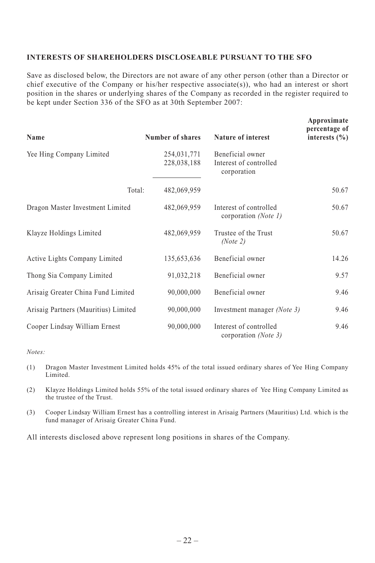#### **INTERESTS OF SHAREHOLDERS DISCLOSEABLE PURSUANT TO THE SFO**

Save as disclosed below, the Directors are not aware of any other person (other than a Director or chief executive of the Company or his/her respective associate(s)), who had an interest or short position in the shares or underlying shares of the Company as recorded in the register required to be kept under Section 336 of the SFO as at 30th September 2007:

| Name                                 | Number of shares           | Nature of interest                                        | Approximate<br>percentage of<br>interests $(\% )$ |
|--------------------------------------|----------------------------|-----------------------------------------------------------|---------------------------------------------------|
| Yee Hing Company Limited             | 254,031,771<br>228,038,188 | Beneficial owner<br>Interest of controlled<br>corporation |                                                   |
| Total:                               | 482,069,959                |                                                           | 50.67                                             |
| Dragon Master Investment Limited     | 482,069,959                | Interest of controlled<br>corporation (Note 1)            | 50.67                                             |
| Klayze Holdings Limited              | 482,069,959                | Trustee of the Trust<br>(Note 2)                          | 50.67                                             |
| Active Lights Company Limited        | 135,653,636                | Beneficial owner                                          | 14.26                                             |
| Thong Sia Company Limited            | 91,032,218                 | Beneficial owner                                          | 9.57                                              |
| Arisaig Greater China Fund Limited   | 90,000,000                 | Beneficial owner                                          | 9.46                                              |
| Arisaig Partners (Mauritius) Limited | 90,000,000                 | Investment manager (Note 3)                               | 9.46                                              |
| Cooper Lindsay William Ernest        | 90,000,000                 | Interest of controlled<br>corporation (Note 3)            | 9.46                                              |

*Notes:*

- (1) Dragon Master Investment Limited holds 45% of the total issued ordinary shares of Yee Hing Company Limited.
- (2) Klayze Holdings Limited holds 55% of the total issued ordinary shares of Yee Hing Company Limited as the trustee of the Trust.
- (3) Cooper Lindsay William Ernest has a controlling interest in Arisaig Partners (Mauritius) Ltd. which is the fund manager of Arisaig Greater China Fund.

All interests disclosed above represent long positions in shares of the Company.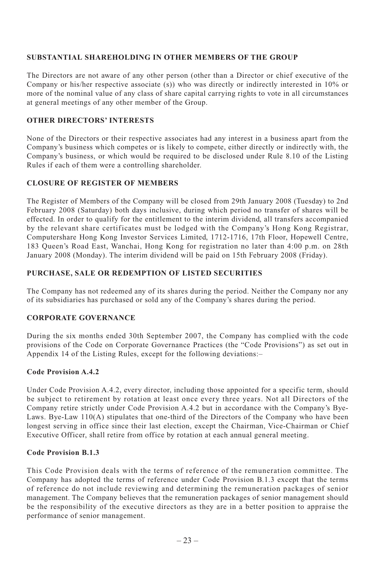#### **SUBSTANTIAL SHAREHOLDING IN OTHER MEMBERS OF THE GROUP**

The Directors are not aware of any other person (other than a Director or chief executive of the Company or his/her respective associate (s)) who was directly or indirectly interested in 10% or more of the nominal value of any class of share capital carrying rights to vote in all circumstances at general meetings of any other member of the Group.

## **OTHER DIRECTORS' INTERESTS**

None of the Directors or their respective associates had any interest in a business apart from the Company's business which competes or is likely to compete, either directly or indirectly with, the Company's business, or which would be required to be disclosed under Rule 8.10 of the Listing Rules if each of them were a controlling shareholder.

#### **CLOSURE OF REGISTER OF MEMBERS**

The Register of Members of the Company will be closed from 29th January 2008 (Tuesday) to 2nd February 2008 (Saturday) both days inclusive, during which period no transfer of shares will be effected. In order to qualify for the entitlement to the interim dividend, all transfers accompanied by the relevant share certificates must be lodged with the Company's Hong Kong Registrar, Computershare Hong Kong Investor Services Limited, 1712-1716, 17th Floor, Hopewell Centre, 183 Queen's Road East, Wanchai, Hong Kong for registration no later than 4:00 p.m. on 28th January 2008 (Monday). The interim dividend will be paid on 15th February 2008 (Friday).

## **PURCHASE, SALE OR REDEMPTION OF LISTED SECURITIES**

The Company has not redeemed any of its shares during the period. Neither the Company nor any of its subsidiaries has purchased or sold any of the Company's shares during the period.

## **CORPORATE GOVERNANCE**

During the six months ended 30th September 2007, the Company has complied with the code provisions of the Code on Corporate Governance Practices (the "Code Provisions") as set out in Appendix 14 of the Listing Rules, except for the following deviations:–

#### **Code Provision A.4.2**

Under Code Provision A.4.2, every director, including those appointed for a specific term, should be subject to retirement by rotation at least once every three years. Not all Directors of the Company retire strictly under Code Provision A.4.2 but in accordance with the Company's Bye-Laws. Bye-Law 110(A) stipulates that one-third of the Directors of the Company who have been longest serving in office since their last election, except the Chairman, Vice-Chairman or Chief Executive Officer, shall retire from office by rotation at each annual general meeting.

## **Code Provision B.1.3**

This Code Provision deals with the terms of reference of the remuneration committee. The Company has adopted the terms of reference under Code Provision B.1.3 except that the terms of reference do not include reviewing and determining the remuneration packages of senior management. The Company believes that the remuneration packages of senior management should be the responsibility of the executive directors as they are in a better position to appraise the performance of senior management.